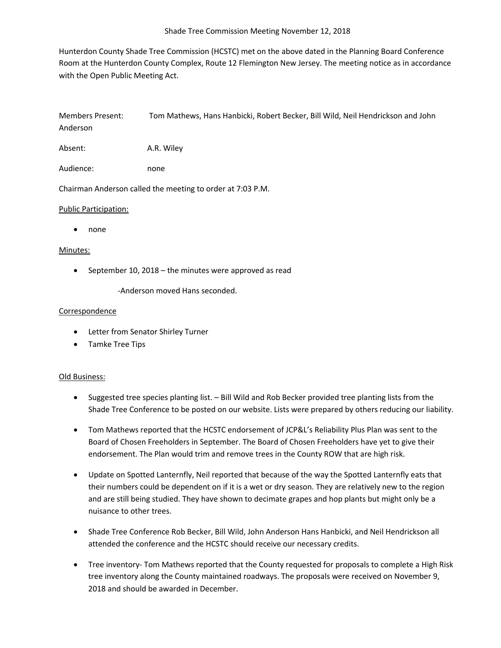Hunterdon County Shade Tree Commission (HCSTC) met on the above dated in the Planning Board Conference Room at the Hunterdon County Complex, Route 12 Flemington New Jersey. The meeting notice as in accordance with the Open Public Meeting Act.

Members Present: Tom Mathews, Hans Hanbicki, Robert Becker, Bill Wild, Neil Hendrickson and John Anderson

Absent: A.R. Wiley

Audience: none

Chairman Anderson called the meeting to order at 7:03 P.M.

### Public Participation:

• none

## Minutes:

• September 10, 2018 – the minutes were approved as read

-Anderson moved Hans seconded.

### Correspondence

- Letter from Senator Shirley Turner
- Tamke Tree Tips

### Old Business:

- Suggested tree species planting list. Bill Wild and Rob Becker provided tree planting lists from the Shade Tree Conference to be posted on our website. Lists were prepared by others reducing our liability.
- Tom Mathews reported that the HCSTC endorsement of JCP&L's Reliability Plus Plan was sent to the Board of Chosen Freeholders in September. The Board of Chosen Freeholders have yet to give their endorsement. The Plan would trim and remove trees in the County ROW that are high risk.
- Update on Spotted Lanternfly, Neil reported that because of the way the Spotted Lanternfly eats that their numbers could be dependent on if it is a wet or dry season. They are relatively new to the region and are still being studied. They have shown to decimate grapes and hop plants but might only be a nuisance to other trees.
- Shade Tree Conference Rob Becker, Bill Wild, John Anderson Hans Hanbicki, and Neil Hendrickson all attended the conference and the HCSTC should receive our necessary credits.
- Tree inventory- Tom Mathews reported that the County requested for proposals to complete a High Risk tree inventory along the County maintained roadways. The proposals were received on November 9, 2018 and should be awarded in December.